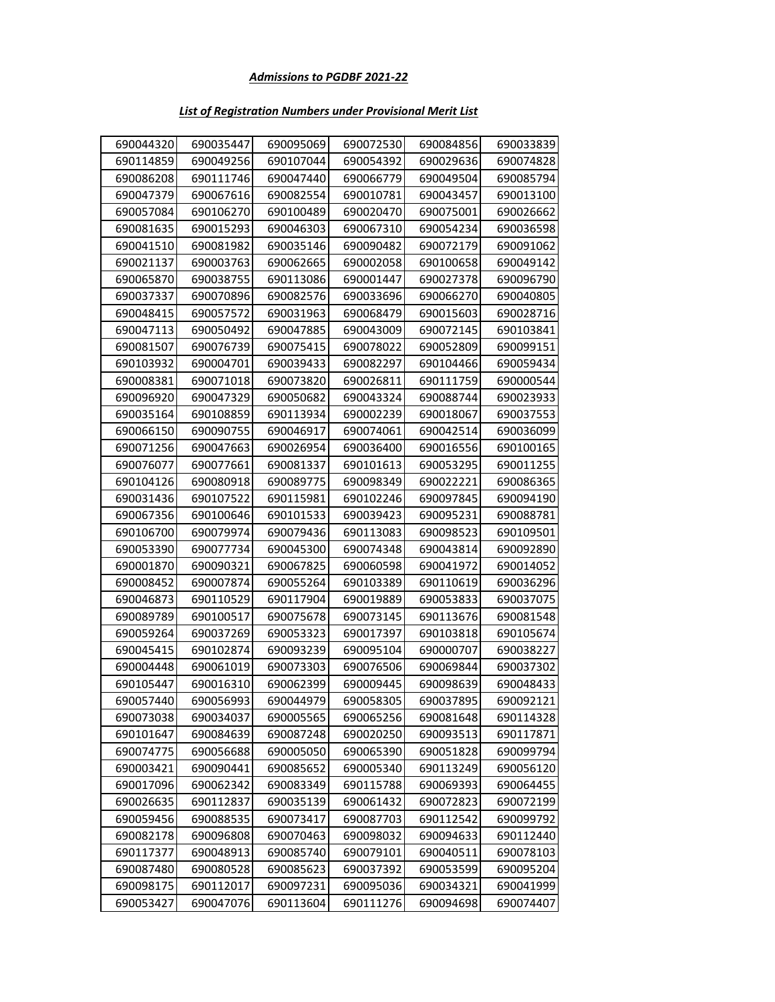#### *List of Registration Numbers under Provisional Merit List*

| 690044320 | 690035447 | 690095069 | 690072530 | 690084856 | 690033839 |
|-----------|-----------|-----------|-----------|-----------|-----------|
| 690114859 | 690049256 | 690107044 | 690054392 | 690029636 | 690074828 |
| 690086208 | 690111746 | 690047440 | 690066779 | 690049504 | 690085794 |
| 690047379 | 690067616 | 690082554 | 690010781 | 690043457 | 690013100 |
| 690057084 | 690106270 | 690100489 | 690020470 | 690075001 | 690026662 |
| 690081635 | 690015293 | 690046303 | 690067310 | 690054234 | 690036598 |
| 690041510 | 690081982 | 690035146 | 690090482 | 690072179 | 690091062 |
| 690021137 | 690003763 | 690062665 | 690002058 | 690100658 | 690049142 |
| 690065870 | 690038755 | 690113086 | 690001447 | 690027378 | 690096790 |
| 690037337 | 690070896 | 690082576 | 690033696 | 690066270 | 690040805 |
| 690048415 | 690057572 | 690031963 | 690068479 | 690015603 | 690028716 |
| 690047113 | 690050492 | 690047885 | 690043009 | 690072145 | 690103841 |
| 690081507 | 690076739 | 690075415 | 690078022 | 690052809 | 690099151 |
| 690103932 | 690004701 | 690039433 | 690082297 | 690104466 | 690059434 |
| 690008381 | 690071018 | 690073820 | 690026811 | 690111759 | 690000544 |
| 690096920 | 690047329 | 690050682 | 690043324 | 690088744 | 690023933 |
| 690035164 | 690108859 | 690113934 | 690002239 | 690018067 | 690037553 |
| 690066150 | 690090755 | 690046917 | 690074061 | 690042514 | 690036099 |
| 690071256 | 690047663 | 690026954 | 690036400 | 690016556 | 690100165 |
| 690076077 | 690077661 | 690081337 | 690101613 | 690053295 | 690011255 |
| 690104126 | 690080918 | 690089775 | 690098349 | 690022221 | 690086365 |
| 690031436 | 690107522 | 690115981 | 690102246 | 690097845 | 690094190 |
| 690067356 | 690100646 | 690101533 | 690039423 | 690095231 | 690088781 |
| 690106700 | 690079974 | 690079436 | 690113083 | 690098523 | 690109501 |
| 690053390 | 690077734 | 690045300 | 690074348 | 690043814 | 690092890 |
| 690001870 | 690090321 | 690067825 | 690060598 | 690041972 | 690014052 |
| 690008452 | 690007874 | 690055264 | 690103389 | 690110619 | 690036296 |
| 690046873 | 690110529 | 690117904 | 690019889 | 690053833 | 690037075 |
| 690089789 | 690100517 | 690075678 | 690073145 | 690113676 | 690081548 |
| 690059264 | 690037269 | 690053323 | 690017397 | 690103818 | 690105674 |
| 690045415 | 690102874 | 690093239 | 690095104 | 690000707 | 690038227 |
| 690004448 | 690061019 | 690073303 | 690076506 | 690069844 | 690037302 |
| 690105447 | 690016310 | 690062399 | 690009445 | 690098639 | 690048433 |
| 690057440 | 690056993 | 690044979 | 690058305 | 690037895 | 690092121 |
| 690073038 | 690034037 | 690005565 | 690065256 | 690081648 | 690114328 |
| 690101647 | 690084639 | 690087248 | 690020250 | 690093513 | 690117871 |
| 690074775 | 690056688 | 690005050 | 690065390 | 690051828 | 690099794 |
| 690003421 | 690090441 | 690085652 | 690005340 | 690113249 | 690056120 |
| 690017096 | 690062342 | 690083349 | 690115788 | 690069393 | 690064455 |
| 690026635 | 690112837 | 690035139 | 690061432 | 690072823 | 690072199 |
| 690059456 | 690088535 | 690073417 | 690087703 | 690112542 | 690099792 |
| 690082178 | 690096808 | 690070463 | 690098032 | 690094633 | 690112440 |
| 690117377 | 690048913 | 690085740 | 690079101 | 690040511 | 690078103 |
| 690087480 | 690080528 | 690085623 | 690037392 | 690053599 | 690095204 |
| 690098175 | 690112017 | 690097231 | 690095036 | 690034321 | 690041999 |
| 690053427 | 690047076 | 690113604 | 690111276 | 690094698 | 690074407 |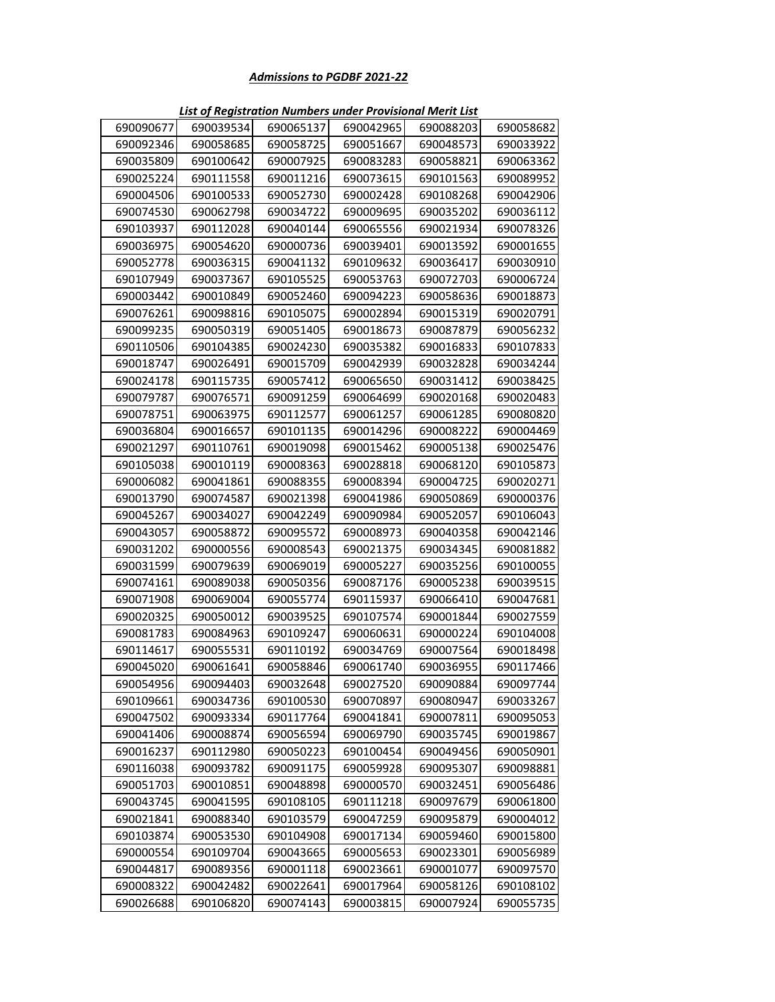| 690090677 | 690039534 | 690065137 | 690042965 | 690088203 | 690058682 |
|-----------|-----------|-----------|-----------|-----------|-----------|
| 690092346 | 690058685 | 690058725 | 690051667 | 690048573 | 690033922 |
| 690035809 | 690100642 | 690007925 | 690083283 | 690058821 | 690063362 |
| 690025224 | 690111558 | 690011216 | 690073615 | 690101563 | 690089952 |
| 690004506 | 690100533 | 690052730 | 690002428 | 690108268 | 690042906 |
| 690074530 | 690062798 | 690034722 | 690009695 | 690035202 | 690036112 |
| 690103937 | 690112028 | 690040144 | 690065556 | 690021934 | 690078326 |
| 690036975 | 690054620 | 690000736 | 690039401 | 690013592 | 690001655 |
| 690052778 | 690036315 | 690041132 | 690109632 | 690036417 | 690030910 |
| 690107949 | 690037367 | 690105525 | 690053763 | 690072703 | 690006724 |
| 690003442 | 690010849 | 690052460 | 690094223 | 690058636 | 690018873 |
| 690076261 | 690098816 | 690105075 | 690002894 | 690015319 | 690020791 |
| 690099235 | 690050319 | 690051405 | 690018673 | 690087879 | 690056232 |
| 690110506 | 690104385 | 690024230 | 690035382 | 690016833 | 690107833 |
| 690018747 | 690026491 | 690015709 | 690042939 | 690032828 | 690034244 |
| 690024178 | 690115735 | 690057412 | 690065650 | 690031412 | 690038425 |
| 690079787 | 690076571 | 690091259 | 690064699 | 690020168 | 690020483 |
| 690078751 | 690063975 | 690112577 | 690061257 | 690061285 | 690080820 |
| 690036804 | 690016657 | 690101135 | 690014296 | 690008222 | 690004469 |
| 690021297 | 690110761 | 690019098 | 690015462 | 690005138 | 690025476 |
| 690105038 | 690010119 | 690008363 | 690028818 | 690068120 | 690105873 |
| 690006082 | 690041861 | 690088355 | 690008394 | 690004725 | 690020271 |
| 690013790 | 690074587 | 690021398 | 690041986 | 690050869 | 690000376 |
| 690045267 | 690034027 | 690042249 | 690090984 | 690052057 | 690106043 |
| 690043057 | 690058872 | 690095572 | 690008973 | 690040358 | 690042146 |
| 690031202 | 690000556 | 690008543 | 690021375 | 690034345 | 690081882 |
| 690031599 | 690079639 | 690069019 | 690005227 | 690035256 | 690100055 |
| 690074161 | 690089038 | 690050356 | 690087176 | 690005238 | 690039515 |
| 690071908 | 690069004 | 690055774 | 690115937 | 690066410 | 690047681 |
| 690020325 | 690050012 | 690039525 | 690107574 | 690001844 | 690027559 |
| 690081783 | 690084963 | 690109247 | 690060631 | 690000224 | 690104008 |
| 690114617 | 690055531 | 690110192 | 690034769 | 690007564 | 690018498 |
| 690045020 | 690061641 | 690058846 | 690061740 | 690036955 | 690117466 |
| 690054956 | 690094403 | 690032648 | 690027520 | 690090884 | 690097744 |
| 690109661 | 690034736 | 690100530 | 690070897 | 690080947 | 690033267 |
| 690047502 | 690093334 | 690117764 | 690041841 | 690007811 | 690095053 |
| 690041406 | 690008874 | 690056594 | 690069790 | 690035745 | 690019867 |
| 690016237 | 690112980 | 690050223 | 690100454 | 690049456 | 690050901 |
| 690116038 | 690093782 | 690091175 | 690059928 | 690095307 | 690098881 |
| 690051703 | 690010851 | 690048898 | 690000570 | 690032451 | 690056486 |
| 690043745 | 690041595 | 690108105 | 690111218 | 690097679 | 690061800 |
| 690021841 | 690088340 | 690103579 | 690047259 | 690095879 | 690004012 |
| 690103874 | 690053530 | 690104908 | 690017134 | 690059460 | 690015800 |
| 690000554 | 690109704 | 690043665 | 690005653 | 690023301 | 690056989 |
| 690044817 | 690089356 | 690001118 | 690023661 | 690001077 | 690097570 |
| 690008322 | 690042482 | 690022641 | 690017964 | 690058126 | 690108102 |
| 690026688 | 690106820 | 690074143 | 690003815 | 690007924 | 690055735 |

*List of Registration Numbers under Provisional Merit List*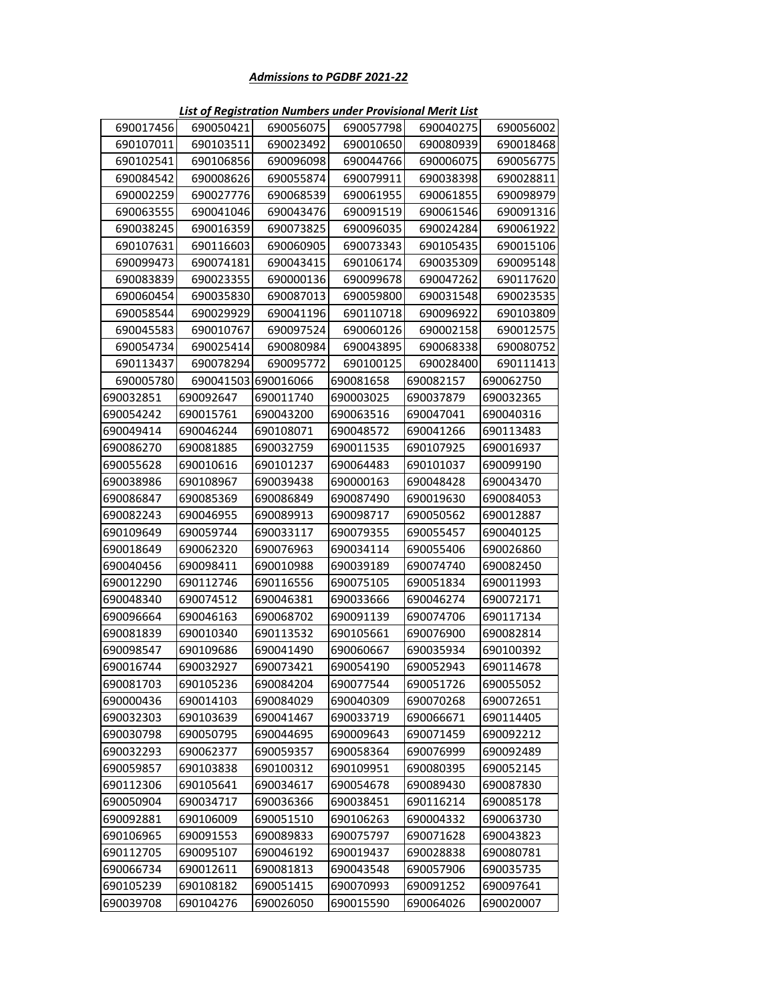| 690017456 | 690050421 | 690056075 | 690057798 | 690040275 | 690056002 |
|-----------|-----------|-----------|-----------|-----------|-----------|
| 690107011 | 690103511 | 690023492 | 690010650 | 690080939 | 690018468 |
| 690102541 | 690106856 | 690096098 | 690044766 | 690006075 | 690056775 |
| 690084542 | 690008626 | 690055874 | 690079911 | 690038398 | 690028811 |
| 690002259 | 690027776 | 690068539 | 690061955 | 690061855 | 690098979 |
| 690063555 | 690041046 | 690043476 | 690091519 | 690061546 | 690091316 |
| 690038245 | 690016359 | 690073825 | 690096035 | 690024284 | 690061922 |
| 690107631 | 690116603 | 690060905 | 690073343 | 690105435 | 690015106 |
| 690099473 | 690074181 | 690043415 | 690106174 | 690035309 | 690095148 |
| 690083839 | 690023355 | 690000136 | 690099678 | 690047262 | 690117620 |
| 690060454 | 690035830 | 690087013 | 690059800 | 690031548 | 690023535 |
| 690058544 | 690029929 | 690041196 | 690110718 | 690096922 | 690103809 |
| 690045583 | 690010767 | 690097524 | 690060126 | 690002158 | 690012575 |
| 690054734 | 690025414 | 690080984 | 690043895 | 690068338 | 690080752 |
| 690113437 | 690078294 | 690095772 | 690100125 | 690028400 | 690111413 |
| 690005780 | 690041503 | 690016066 | 690081658 | 690082157 | 690062750 |
| 690032851 | 690092647 | 690011740 | 690003025 | 690037879 | 690032365 |
| 690054242 | 690015761 | 690043200 | 690063516 | 690047041 | 690040316 |
| 690049414 | 690046244 | 690108071 | 690048572 | 690041266 | 690113483 |
| 690086270 | 690081885 | 690032759 | 690011535 | 690107925 | 690016937 |
| 690055628 | 690010616 | 690101237 | 690064483 | 690101037 | 690099190 |
| 690038986 | 690108967 | 690039438 | 690000163 | 690048428 | 690043470 |
| 690086847 | 690085369 | 690086849 | 690087490 | 690019630 | 690084053 |
| 690082243 | 690046955 | 690089913 | 690098717 | 690050562 | 690012887 |
| 690109649 | 690059744 | 690033117 | 690079355 | 690055457 | 690040125 |
| 690018649 | 690062320 | 690076963 | 690034114 | 690055406 | 690026860 |
| 690040456 | 690098411 | 690010988 | 690039189 | 690074740 | 690082450 |
| 690012290 | 690112746 | 690116556 | 690075105 | 690051834 | 690011993 |
| 690048340 | 690074512 | 690046381 | 690033666 | 690046274 | 690072171 |
| 690096664 | 690046163 | 690068702 | 690091139 | 690074706 | 690117134 |
| 690081839 | 690010340 | 690113532 | 690105661 | 690076900 | 690082814 |
| 690098547 | 690109686 | 690041490 | 690060667 | 690035934 | 690100392 |
| 690016744 | 690032927 | 690073421 | 690054190 | 690052943 | 690114678 |
| 690081703 | 690105236 | 690084204 | 690077544 | 690051726 | 690055052 |
| 690000436 | 690014103 | 690084029 | 690040309 | 690070268 | 690072651 |
| 690032303 | 690103639 | 690041467 | 690033719 | 690066671 | 690114405 |
| 690030798 | 690050795 | 690044695 | 690009643 | 690071459 | 690092212 |
| 690032293 | 690062377 | 690059357 | 690058364 | 690076999 | 690092489 |
| 690059857 | 690103838 | 690100312 | 690109951 | 690080395 | 690052145 |
| 690112306 | 690105641 | 690034617 | 690054678 | 690089430 | 690087830 |
| 690050904 | 690034717 | 690036366 | 690038451 | 690116214 | 690085178 |
| 690092881 | 690106009 | 690051510 | 690106263 | 690004332 | 690063730 |
| 690106965 | 690091553 | 690089833 | 690075797 | 690071628 | 690043823 |
| 690112705 | 690095107 | 690046192 | 690019437 | 690028838 | 690080781 |
| 690066734 | 690012611 | 690081813 | 690043548 | 690057906 | 690035735 |
| 690105239 | 690108182 | 690051415 | 690070993 | 690091252 | 690097641 |
| 690039708 | 690104276 | 690026050 | 690015590 | 690064026 | 690020007 |

*List of Registration Numbers under Provisional Merit List*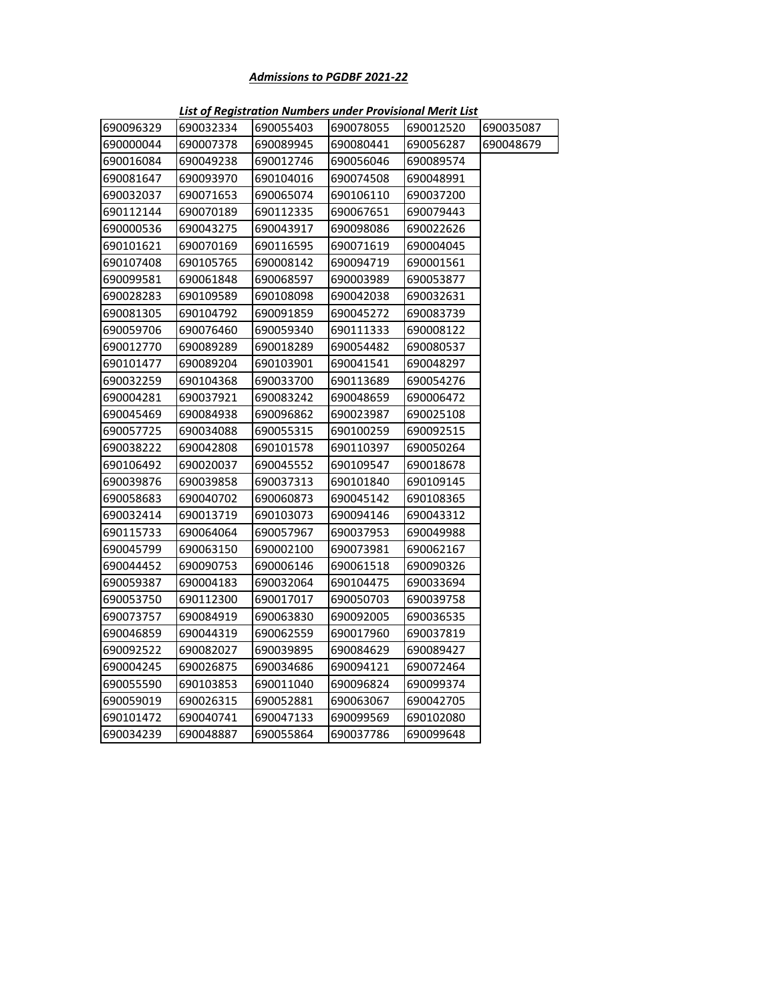| 690096329 | 690032334 | 690055403 | 690078055 | 690012520 | 690035087 |
|-----------|-----------|-----------|-----------|-----------|-----------|
| 690000044 | 690007378 | 690089945 | 690080441 | 690056287 | 690048679 |
| 690016084 | 690049238 | 690012746 | 690056046 | 690089574 |           |
| 690081647 | 690093970 | 690104016 | 690074508 | 690048991 |           |
| 690032037 | 690071653 | 690065074 | 690106110 | 690037200 |           |
| 690112144 | 690070189 | 690112335 | 690067651 | 690079443 |           |
| 690000536 | 690043275 | 690043917 | 690098086 | 690022626 |           |
| 690101621 | 690070169 | 690116595 | 690071619 | 690004045 |           |
| 690107408 | 690105765 | 690008142 | 690094719 | 690001561 |           |
| 690099581 | 690061848 | 690068597 | 690003989 | 690053877 |           |
| 690028283 | 690109589 | 690108098 | 690042038 | 690032631 |           |
| 690081305 | 690104792 | 690091859 | 690045272 | 690083739 |           |
| 690059706 | 690076460 | 690059340 | 690111333 | 690008122 |           |
| 690012770 | 690089289 | 690018289 | 690054482 | 690080537 |           |
| 690101477 | 690089204 | 690103901 | 690041541 | 690048297 |           |
| 690032259 | 690104368 | 690033700 | 690113689 | 690054276 |           |
| 690004281 | 690037921 | 690083242 | 690048659 | 690006472 |           |
| 690045469 | 690084938 | 690096862 | 690023987 | 690025108 |           |
| 690057725 | 690034088 | 690055315 | 690100259 | 690092515 |           |
| 690038222 | 690042808 | 690101578 | 690110397 | 690050264 |           |
| 690106492 | 690020037 | 690045552 | 690109547 | 690018678 |           |
| 690039876 | 690039858 | 690037313 | 690101840 | 690109145 |           |
| 690058683 | 690040702 | 690060873 | 690045142 | 690108365 |           |
| 690032414 | 690013719 | 690103073 | 690094146 | 690043312 |           |
| 690115733 | 690064064 | 690057967 | 690037953 | 690049988 |           |
| 690045799 | 690063150 | 690002100 | 690073981 | 690062167 |           |
| 690044452 | 690090753 | 690006146 | 690061518 | 690090326 |           |
| 690059387 | 690004183 | 690032064 | 690104475 | 690033694 |           |
| 690053750 | 690112300 | 690017017 | 690050703 | 690039758 |           |
| 690073757 | 690084919 | 690063830 | 690092005 | 690036535 |           |
| 690046859 | 690044319 | 690062559 | 690017960 | 690037819 |           |
| 690092522 | 690082027 | 690039895 | 690084629 | 690089427 |           |
| 690004245 | 690026875 | 690034686 | 690094121 | 690072464 |           |
| 690055590 | 690103853 | 690011040 | 690096824 | 690099374 |           |
| 690059019 | 690026315 | 690052881 | 690063067 | 690042705 |           |
| 690101472 | 690040741 | 690047133 | 690099569 | 690102080 |           |
| 690034239 | 690048887 | 690055864 | 690037786 | 690099648 |           |

*List of Registration Numbers under Provisional Merit List*